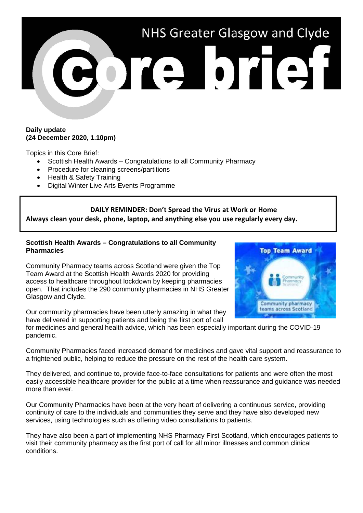

## **Daily update (24 December 2020, 1.10pm)**

Topics in this Core Brief:

- Scottish Health Awards Congratulations to all Community Pharmacy
- Procedure for cleaning screens/partitions
- Health & Safety Training
- Digital Winter Live Arts Events Programme

# **DAILY REMINDER: Don't Spread the Virus at Work or Home Always clean your desk, phone, laptop, and anything else you use regularly every day.**

## **Scottish Health Awards – Congratulations to all Community Pharmacies**

Community Pharmacy teams across Scotland were given the Top Team Award at the Scottish Health Awards 2020 for providing access to healthcare throughout lockdown by keeping pharmacies open. That includes the 290 community pharmacies in NHS Greater Glasgow and Clyde.

Our community pharmacies have been utterly amazing in what they have delivered in supporting patients and being the first port of call



Community Pharmacies faced increased demand for medicines and gave vital support and reassurance to a frightened public, helping to reduce the pressure on the rest of the health care system.

They delivered, and continue to, provide face-to-face consultations for patients and were often the most easily accessible healthcare provider for the public at a time when reassurance and guidance was needed more than ever.

Our Community Pharmacies have been at the very heart of delivering a continuous service, providing continuity of care to the individuals and communities they serve and they have also developed new services, using technologies such as offering video consultations to patients.

They have also been a part of implementing NHS Pharmacy First Scotland, which encourages patients to visit their community pharmacy as the first port of call for all minor illnesses and common clinical conditions.

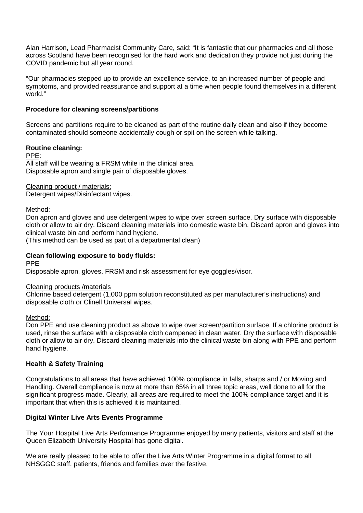Alan Harrison, Lead Pharmacist Community Care, said: "It is fantastic that our pharmacies and all those across Scotland have been recognised for the hard work and dedication they provide not just during the COVID pandemic but all year round.

"Our pharmacies stepped up to provide an excellence service, to an increased number of people and symptoms, and provided reassurance and support at a time when people found themselves in a different world."

## **Procedure for cleaning screens/partitions**

Screens and partitions require to be cleaned as part of the routine daily clean and also if they become contaminated should someone accidentally cough or spit on the screen while talking.

## **Routine cleaning:**

PPE: All staff will be wearing a FRSM while in the clinical area. Disposable apron and single pair of disposable gloves.

## Cleaning product / materials:

Detergent wipes/Disinfectant wipes.

## Method:

Don apron and gloves and use detergent wipes to wipe over screen surface. Dry surface with disposable cloth or allow to air dry. Discard cleaning materials into domestic waste bin. Discard apron and gloves into clinical waste bin and perform hand hygiene.

(This method can be used as part of a departmental clean)

## **Clean following exposure to body fluids:**

### PPE

Disposable apron, gloves, FRSM and risk assessment for eye goggles/visor.

### Cleaning products /materials

Chlorine based detergent (1,000 ppm solution reconstituted as per manufacturer's instructions) and disposable cloth or Clinell Universal wipes.

## Method:

Don PPE and use cleaning product as above to wipe over screen/partition surface. If a chlorine product is used, rinse the surface with a disposable cloth dampened in clean water. Dry the surface with disposable cloth or allow to air dry. Discard cleaning materials into the clinical waste bin along with PPE and perform hand hygiene.

## **Health & Safety Training**

Congratulations to all areas that have achieved 100% compliance in falls, sharps and / or Moving and Handling. Overall compliance is now at more than 85% in all three topic areas, well done to all for the significant progress made. Clearly, all areas are required to meet the 100% compliance target and it is important that when this is achieved it is maintained.

## **Digital Winter Live Arts Events Programme**

The Your Hospital Live Arts Performance Programme enjoyed by many patients, visitors and staff at the Queen Elizabeth University Hospital has gone digital.

We are really pleased to be able to offer the Live Arts Winter Programme in a digital format to all NHSGGC staff, patients, friends and families over the festive.